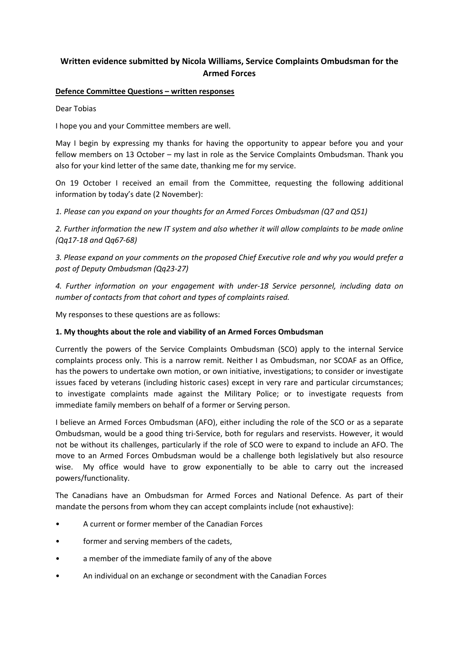# **Written evidence submitted by Nicola Williams, Service Complaints Ombudsman for the Armed Forces**

#### **Defence Committee Questions – written responses**

Dear Tobias

I hope you and your Committee members are well.

May I begin by expressing my thanks for having the opportunity to appear before you and your fellow members on 13 October – my last in role as the Service Complaints Ombudsman. Thank you also for your kind letter of the same date, thanking me for my service.

On 19 October I received an email from the Committee, requesting the following additional information by today's date (2 November):

*1. Please can you expand on your thoughts for an Armed Forces Ombudsman (Q7 and Q51)*

2. Further information the new IT system and also whether it will allow complaints to be made online *(Qq17-18 and Qq67-68)*

*3. Please expand on your comments on the proposed Chief Executive role and why you would prefer a post of Deputy Ombudsman (Qq23-27)*

*4. Further information on your engagement with under-18 Service personnel, including data on number of contacts from that cohort and types of complaints raised.*

My responses to these questions are as follows:

#### **1. My thoughts about the role and viability of an Armed Forces Ombudsman**

Currently the powers of the Service Complaints Ombudsman (SCO) apply to the internal Service complaints process only. This is a narrow remit. Neither I as Ombudsman, nor SCOAF as an Office, has the powers to undertake own motion, or own initiative, investigations; to consider or investigate issues faced by veterans (including historic cases) except in very rare and particular circumstances; to investigate complaints made against the Military Police; or to investigate requests from immediate family members on behalf of a former or Serving person.

I believe an Armed Forces Ombudsman (AFO), either including the role of the SCO or as a separate Ombudsman, would be a good thing tri-Service, both for regulars and reservists. However, it would not be without its challenges, particularly if the role of SCO were to expand to include an AFO. The move to an Armed Forces Ombudsman would be a challenge both legislatively but also resource wise. My office would have to grow exponentially to be able to carry out the increased powers/functionality.

The Canadians have an Ombudsman for Armed Forces and National Defence. As part of their mandate the persons from whom they can accept complaints include (not exhaustive):

- A current or former member of the Canadian Forces
- former and serving members of the cadets,
- a member of the immediate family of any of the above
- An individual on an exchange or secondment with the Canadian Forces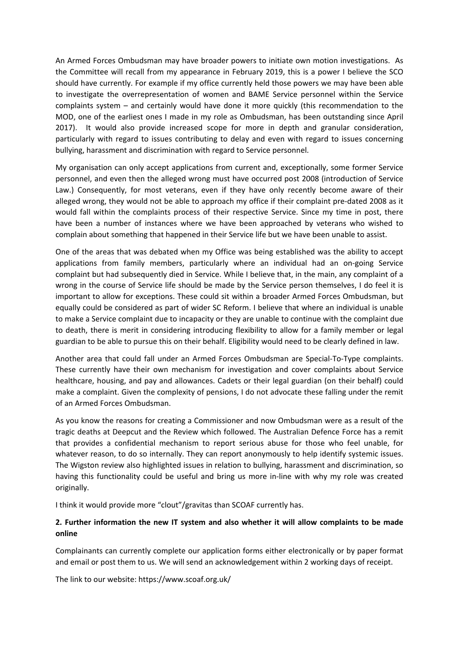An Armed Forces Ombudsman may have broader powers to initiate own motion investigations. As the Committee will recall from my appearance in February 2019, this is a power I believe the SCO should have currently. For example if my office currently held those powers we may have been able to investigate the overrepresentation of women and BAME Service personnel within the Service complaints system – and certainly would have done it more quickly (this recommendation to the MOD, one of the earliest ones I made in my role as Ombudsman, has been outstanding since April 2017). It would also provide increased scope for more in depth and granular consideration, particularly with regard to issues contributing to delay and even with regard to issues concerning bullying, harassment and discrimination with regard to Service personnel.

My organisation can only accept applications from current and, exceptionally, some former Service personnel, and even then the alleged wrong must have occurred post 2008 (introduction of Service Law.) Consequently, for most veterans, even if they have only recently become aware of their alleged wrong, they would not be able to approach my office if their complaint pre-dated 2008 as it would fall within the complaints process of their respective Service. Since my time in post, there have been a number of instances where we have been approached by veterans who wished to complain about something that happened in their Service life but we have been unable to assist.

One of the areas that was debated when my Office was being established was the ability to accept applications from family members, particularly where an individual had an on-going Service complaint but had subsequently died in Service. While I believe that, in the main, any complaint of a wrong in the course of Service life should be made by the Service person themselves, I do feel it is important to allow for exceptions. These could sit within a broader Armed Forces Ombudsman, but equally could be considered as part of wider SC Reform. I believe that where an individual is unable to make a Service complaint due to incapacity or they are unable to continue with the complaint due to death, there is merit in considering introducing flexibility to allow for a family member or legal guardian to be able to pursue this on their behalf. Eligibility would need to be clearly defined in law.

Another area that could fall under an Armed Forces Ombudsman are Special-To-Type complaints. These currently have their own mechanism for investigation and cover complaints about Service healthcare, housing, and pay and allowances. Cadets or their legal guardian (on their behalf) could make a complaint. Given the complexity of pensions, I do not advocate these falling under the remit of an Armed Forces Ombudsman.

As you know the reasons for creating a Commissioner and now Ombudsman were as a result of the tragic deaths at Deepcut and the Review which followed. The Australian Defence Force has a remit that provides a confidential mechanism to report serious abuse for those who feel unable, for whatever reason, to do so internally. They can report anonymously to help identify systemic issues. The Wigston review also highlighted issues in relation to bullying, harassment and discrimination, so having this functionality could be useful and bring us more in-line with why my role was created originally.

I think it would provide more "clout"/gravitas than SCOAF currently has.

### **2. Further information the new IT system and also whether it will allow complaints to be made online**

Complainants can currently complete our application forms either electronically or by paper format and email or post them to us. We will send an acknowledgement within 2 working days of receipt.

The link to our website: https://www.scoaf.org.uk/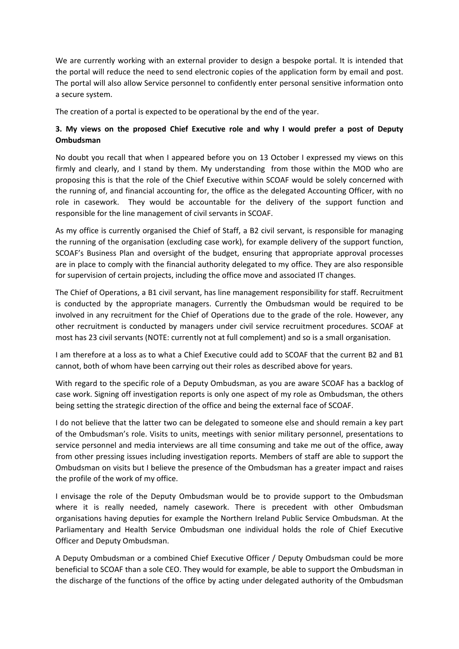We are currently working with an external provider to design a bespoke portal. It is intended that the portal will reduce the need to send electronic copies of the application form by email and post. The portal will also allow Service personnel to confidently enter personal sensitive information onto a secure system.

The creation of a portal is expected to be operational by the end of the year.

## **3. My views on the proposed Chief Executive role and why I would prefer a post of Deputy Ombudsman**

No doubt you recall that when I appeared before you on 13 October I expressed my views on this firmly and clearly, and I stand by them. My understanding from those within the MOD who are proposing this is that the role of the Chief Executive within SCOAF would be solely concerned with the running of, and financial accounting for, the office as the delegated Accounting Officer, with no role in casework. They would be accountable for the delivery of the support function and responsible for the line management of civil servants in SCOAF.

As my office is currently organised the Chief of Staff, a B2 civil servant, is responsible for managing the running of the organisation (excluding case work), for example delivery of the support function, SCOAF's Business Plan and oversight of the budget, ensuring that appropriate approval processes are in place to comply with the financial authority delegated to my office. They are also responsible for supervision of certain projects, including the office move and associated IT changes.

The Chief of Operations, a B1 civil servant, has line management responsibility for staff. Recruitment is conducted by the appropriate managers. Currently the Ombudsman would be required to be involved in any recruitment for the Chief of Operations due to the grade of the role. However, any other recruitment is conducted by managers under civil service recruitment procedures. SCOAF at most has 23 civil servants (NOTE: currently not at full complement) and so is a small organisation.

I am therefore at a loss as to what a Chief Executive could add to SCOAF that the current B2 and B1 cannot, both of whom have been carrying out their roles as described above for years.

With regard to the specific role of a Deputy Ombudsman, as you are aware SCOAF has a backlog of case work. Signing off investigation reports is only one aspect of my role as Ombudsman, the others being setting the strategic direction of the office and being the external face of SCOAF.

I do not believe that the latter two can be delegated to someone else and should remain a key part of the Ombudsman's role. Visits to units, meetings with senior military personnel, presentations to service personnel and media interviews are all time consuming and take me out of the office, away from other pressing issues including investigation reports. Members of staff are able to support the Ombudsman on visits but I believe the presence of the Ombudsman has a greater impact and raises the profile of the work of my office.

I envisage the role of the Deputy Ombudsman would be to provide support to the Ombudsman where it is really needed, namely casework. There is precedent with other Ombudsman organisations having deputies for example the Northern Ireland Public Service Ombudsman. At the Parliamentary and Health Service Ombudsman one individual holds the role of Chief Executive Officer and Deputy Ombudsman.

A Deputy Ombudsman or a combined Chief Executive Officer / Deputy Ombudsman could be more beneficial to SCOAF than a sole CEO. They would for example, be able to support the Ombudsman in the discharge of the functions of the office by acting under delegated authority of the Ombudsman